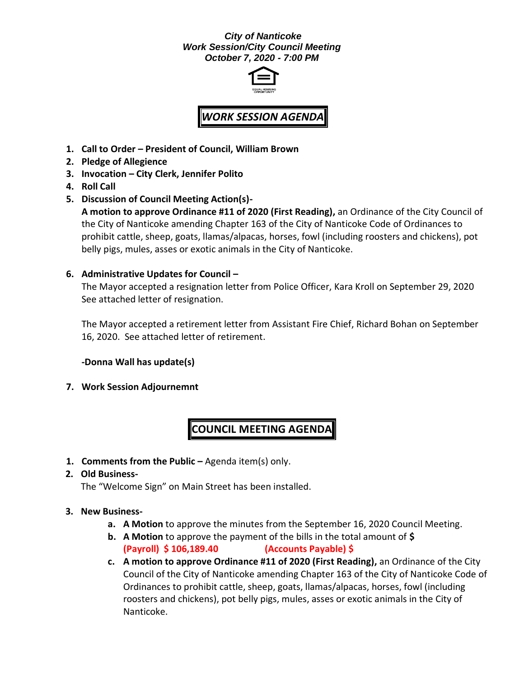# *City of Nanticoke Work Session/City Council Meeting October 7, 2020 - 7:00 PM*



# *WORK SESSION AGENDA*

- **1. Call to Order – President of Council, William Brown**
- **2. Pledge of Allegience**
- **3. Invocation – City Clerk, Jennifer Polito**
- **4. Roll Call**
- **5. Discussion of Council Meeting Action(s)- A motion to approve Ordinance #11 of 2020 (First Reading),** an Ordinance of the City Council of the City of Nanticoke amending Chapter 163 of the City of Nanticoke Code of Ordinances to prohibit cattle, sheep, goats, llamas/alpacas, horses, fowl (including roosters and chickens), pot belly pigs, mules, asses or exotic animals in the City of Nanticoke.

### **6. Administrative Updates for Council –**

The Mayor accepted a resignation letter from Police Officer, Kara Kroll on September 29, 2020 See attached letter of resignation.

The Mayor accepted a retirement letter from Assistant Fire Chief, Richard Bohan on September 16, 2020. See attached letter of retirement.

**-Donna Wall has update(s)**

**7. Work Session Adjournemnt**

# **COUNCIL MEETING AGENDA**

**1. Comments from the Public –** Agenda item(s) only.

#### **2. Old Business-**

The "Welcome Sign" on Main Street has been installed.

#### **3. New Business-**

- **a. A Motion** to approve the minutes from the September 16, 2020 Council Meeting.
- **b. A Motion** to approve the payment of the bills in the total amount of **\$ (Payroll) \$ 106,189.40 (Accounts Payable) \$**
- **c. A motion to approve Ordinance #11 of 2020 (First Reading),** an Ordinance of the City Council of the City of Nanticoke amending Chapter 163 of the City of Nanticoke Code of Ordinances to prohibit cattle, sheep, goats, llamas/alpacas, horses, fowl (including roosters and chickens), pot belly pigs, mules, asses or exotic animals in the City of Nanticoke.